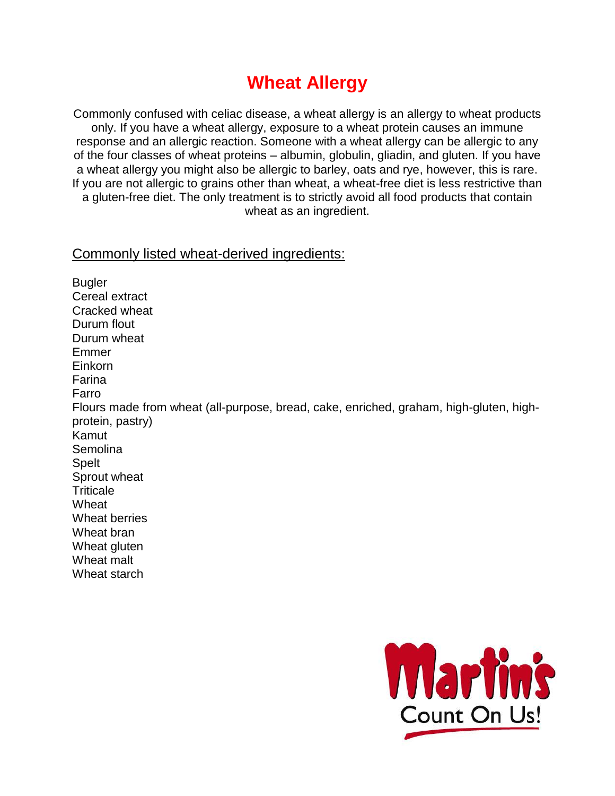# **Wheat Allergy**

Commonly confused with celiac disease, a wheat allergy is an allergy to wheat products only. If you have a wheat allergy, exposure to a wheat protein causes an immune response and an allergic reaction. Someone with a wheat allergy can be allergic to any of the four classes of wheat proteins – albumin, globulin, gliadin, and gluten. If you have a wheat allergy you might also be allergic to barley, oats and rye, however, this is rare. If you are not allergic to grains other than wheat, a wheat-free diet is less restrictive than a gluten-free diet. The only treatment is to strictly avoid all food products that contain wheat as an ingredient.

#### Commonly listed wheat-derived ingredients:

**Bugler** Cereal extract Cracked wheat Durum flout Durum wheat Emmer Einkorn Farina Farro Flours made from wheat (all-purpose, bread, cake, enriched, graham, high-gluten, highprotein, pastry) Kamut Semolina Spelt Sprout wheat **Triticale Wheat** Wheat berries Wheat bran Wheat gluten Wheat malt



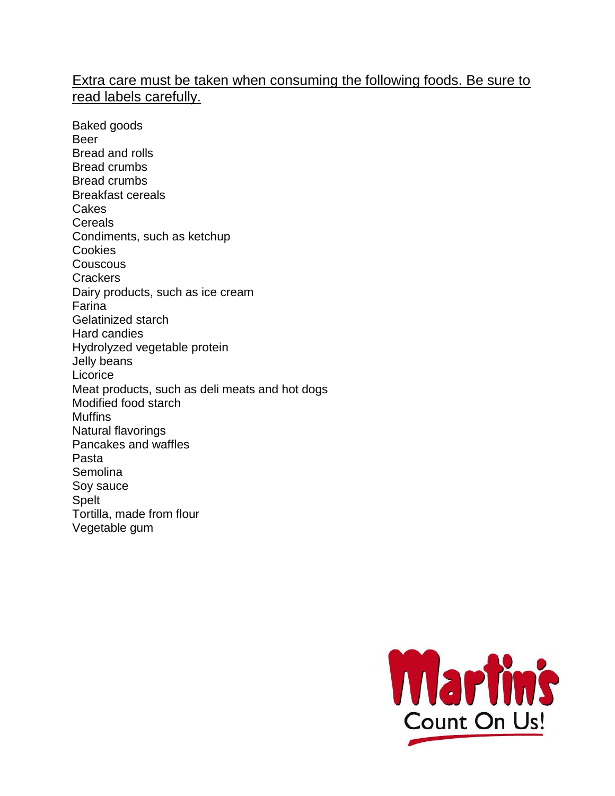## Extra care must be taken when consuming the following foods. Be sure to read labels carefully.

Baked goods Beer Bread and rolls Bread crumbs Bread crumbs Breakfast cereals **Cakes Cereals** Condiments, such as ketchup **Cookies Couscous Crackers** Dairy products, such as ice cream Farina Gelatinized starch Hard candies Hydrolyzed vegetable protein Jelly beans Licorice Meat products, such as deli meats and hot dogs Modified food starch **Muffins** Natural flavorings Pancakes and waffles Pasta Semolina Soy sauce Spelt Tortilla, made from flour Vegetable gum